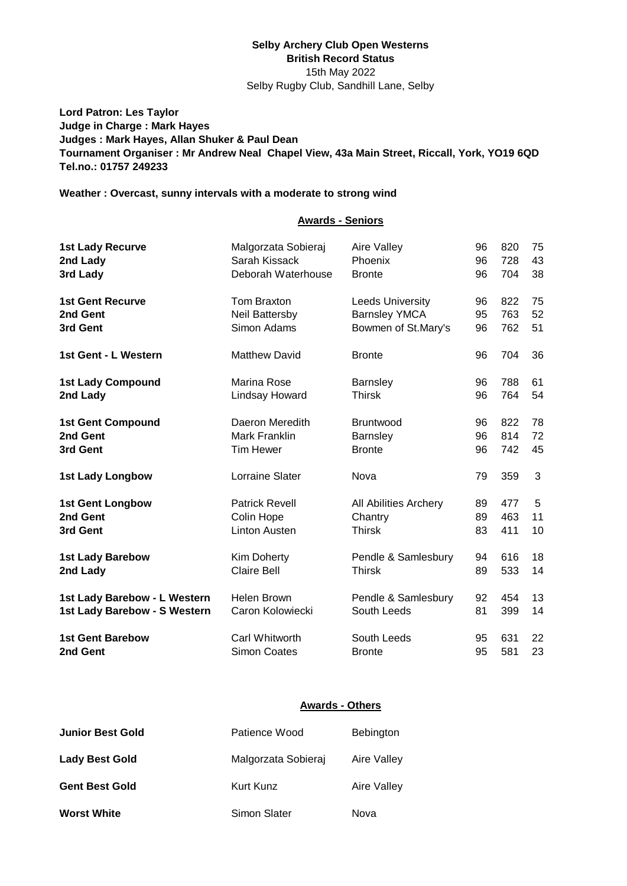### **Selby Archery Club Open Westerns British Record Status** 15th May 2022 Selby Rugby Club, Sandhill Lane, Selby

**Lord Patron: Les Taylor Judge in Charge : Mark Hayes Judges : Mark Hayes, Allan Shuker & Paul Dean Tournament Organiser : Mr Andrew Neal Chapel View, 43a Main Street, Riccall, York, YO19 6QD Tel.no.: 01757 249233**

## **Weather : Overcast, sunny intervals with a moderate to strong wind**

### **Awards - Seniors**

| <b>1st Lady Recurve</b>      | Malgorzata Sobieraj   | Aire Valley             | 96 | 820 | 75 |
|------------------------------|-----------------------|-------------------------|----|-----|----|
| 2nd Lady                     | Sarah Kissack         | Phoenix                 | 96 | 728 | 43 |
| 3rd Lady                     | Deborah Waterhouse    | <b>Bronte</b>           | 96 | 704 | 38 |
| <b>1st Gent Recurve</b>      | Tom Braxton           | <b>Leeds University</b> | 96 | 822 | 75 |
| 2nd Gent                     | Neil Battersby        | <b>Barnsley YMCA</b>    | 95 | 763 | 52 |
| 3rd Gent                     | Simon Adams           | Bowmen of St.Mary's     | 96 | 762 | 51 |
| 1st Gent - L Western         | <b>Matthew David</b>  | <b>Bronte</b>           | 96 | 704 | 36 |
| <b>1st Lady Compound</b>     | Marina Rose           | <b>Barnsley</b>         | 96 | 788 | 61 |
| 2nd Lady                     | Lindsay Howard        | <b>Thirsk</b>           | 96 | 764 | 54 |
| <b>1st Gent Compound</b>     | Daeron Meredith       | <b>Bruntwood</b>        | 96 | 822 | 78 |
| 2nd Gent                     | <b>Mark Franklin</b>  | Barnsley                | 96 | 814 | 72 |
| 3rd Gent                     | <b>Tim Hewer</b>      | <b>Bronte</b>           | 96 | 742 | 45 |
| <b>1st Lady Longbow</b>      | Lorraine Slater       | Nova                    | 79 | 359 | 3  |
| <b>1st Gent Longbow</b>      | <b>Patrick Revell</b> | All Abilities Archery   | 89 | 477 | 5  |
| 2nd Gent                     | Colin Hope            | Chantry                 | 89 | 463 | 11 |
| 3rd Gent                     | <b>Linton Austen</b>  | <b>Thirsk</b>           | 83 | 411 | 10 |
| <b>1st Lady Barebow</b>      | Kim Doherty           | Pendle & Samlesbury     | 94 | 616 | 18 |
| 2nd Lady                     | <b>Claire Bell</b>    | <b>Thirsk</b>           | 89 | 533 | 14 |
| 1st Lady Barebow - L Western | <b>Helen Brown</b>    | Pendle & Samlesbury     | 92 | 454 | 13 |
| 1st Lady Barebow - S Western | Caron Kolowiecki      | South Leeds             | 81 | 399 | 14 |
| <b>1st Gent Barebow</b>      | Carl Whitworth        | South Leeds             | 95 | 631 | 22 |
| 2nd Gent                     | <b>Simon Coates</b>   | <b>Bronte</b>           | 95 | 581 | 23 |

#### **Awards - Others**

| <b>Junior Best Gold</b> | Patience Wood       | Bebington   |
|-------------------------|---------------------|-------------|
| <b>Lady Best Gold</b>   | Malgorzata Sobieraj | Aire Valley |
| <b>Gent Best Gold</b>   | Kurt Kunz           | Aire Valley |
| <b>Worst White</b>      | Simon Slater        | Nova        |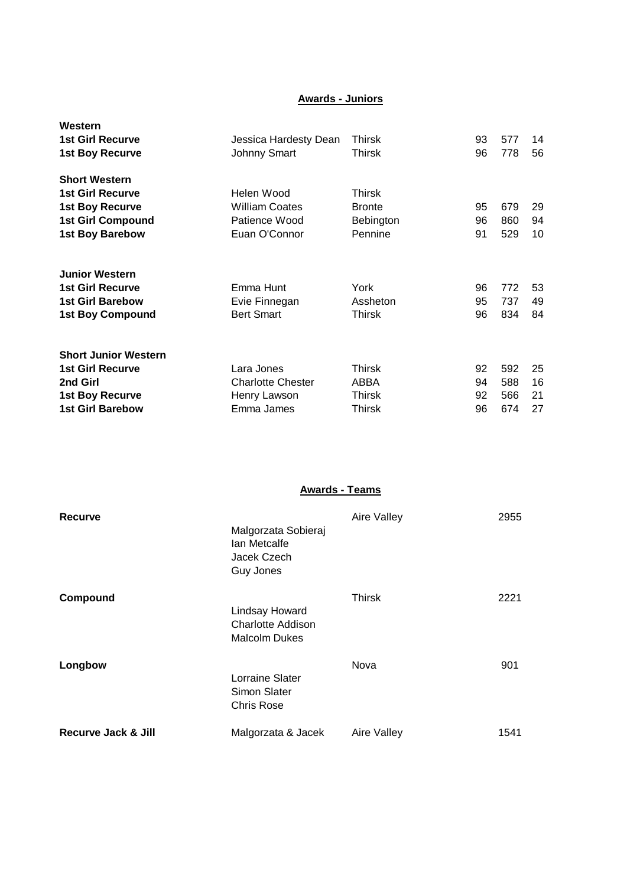## **Awards - Juniors**

| Western<br><b>1st Girl Recurve</b><br><b>1st Boy Recurve</b>                                           | Jessica Hardesty Dean<br><b>Johnny Smart</b>           | <b>Thirsk</b><br>Thirsk              | 93<br>96       | 577<br>778        | 14<br>56       |
|--------------------------------------------------------------------------------------------------------|--------------------------------------------------------|--------------------------------------|----------------|-------------------|----------------|
| <b>Short Western</b><br><b>1st Girl Recurve</b><br><b>1st Boy Recurve</b><br><b>1st Girl Compound</b>  | Helen Wood<br><b>William Coates</b><br>Patience Wood   | Thirsk<br><b>Bronte</b><br>Bebington | 95<br>96       | 679<br>860        | 29<br>94       |
| <b>1st Boy Barebow</b>                                                                                 | Euan O'Connor                                          | Pennine                              | 91             | 529               | 10             |
| <b>Junior Western</b><br><b>1st Girl Recurve</b><br><b>1st Girl Barebow</b><br><b>1st Boy Compound</b> | Emma Hunt<br>Evie Finnegan<br><b>Bert Smart</b>        | York<br>Assheton<br>Thirsk           | 96<br>95<br>96 | 772<br>737<br>834 | 53<br>49<br>84 |
| <b>Short Junior Western</b><br><b>1st Girl Recurve</b>                                                 | Lara Jones                                             | Thirsk                               | 92             | 592               | 25             |
| 2nd Girl<br><b>1st Boy Recurve</b><br><b>1st Girl Barebow</b>                                          | <b>Charlotte Chester</b><br>Henry Lawson<br>Emma James | ABBA<br>Thirsk<br>Thirsk             | 94<br>92<br>96 | 588<br>566<br>674 | 16<br>21<br>27 |

**Awards - Teams**

| Recurve                        | Malgorzata Sobieraj<br>lan Metcalfe<br>Jacek Czech<br>Guy Jones | Aire Valley   | 2955 |
|--------------------------------|-----------------------------------------------------------------|---------------|------|
| Compound                       | Lindsay Howard<br>Charlotte Addison<br><b>Malcolm Dukes</b>     | <b>Thirsk</b> | 2221 |
| Longbow                        | Lorraine Slater<br>Simon Slater<br><b>Chris Rose</b>            | Nova          | 901  |
| <b>Recurve Jack &amp; Jill</b> | Malgorzata & Jacek                                              | Aire Valley   | 1541 |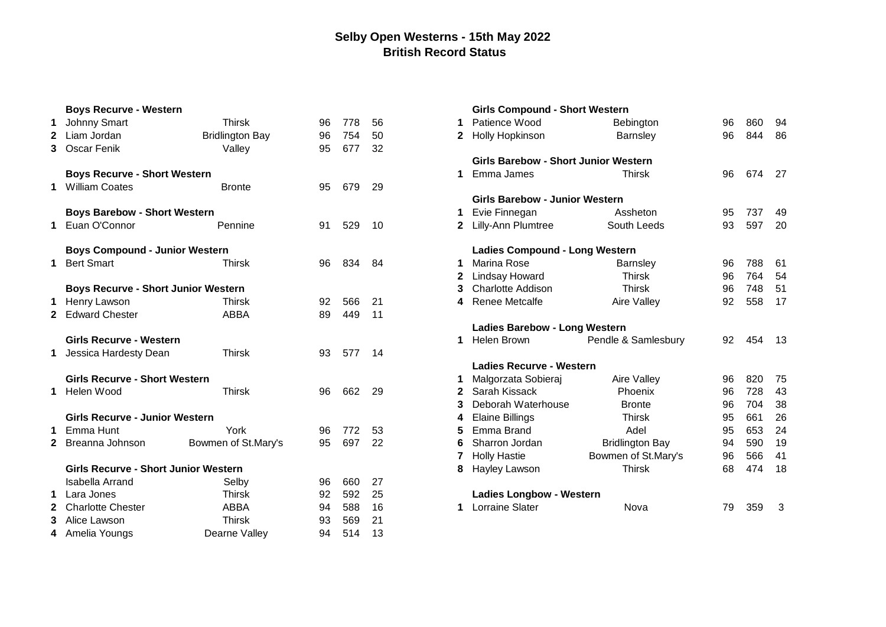# **Selby Open Westerns - 15th May 2022 British Record Status**

|              | <b>Boys Recurve - Western</b>               |                        |    |     |     |              | <b>Girls Compound - Short Western</b>       |                        |    |     |     |
|--------------|---------------------------------------------|------------------------|----|-----|-----|--------------|---------------------------------------------|------------------------|----|-----|-----|
| 1            | Johnny Smart                                | <b>Thirsk</b>          | 96 | 778 | 56  |              | Patience Wood                               | <b>Bebington</b>       | 96 | 860 | 94  |
|              | 2 Liam Jordan                               | <b>Bridlington Bay</b> | 96 | 754 | 50  | $\mathbf{2}$ | <b>Holly Hopkinson</b>                      | Barnsley               | 96 | 844 | 86  |
|              | 3 Oscar Fenik                               | Valley                 | 95 | 677 | 32  |              |                                             |                        |    |     |     |
|              |                                             |                        |    |     |     |              | <b>Girls Barebow - Short Junior Western</b> |                        |    |     |     |
|              | <b>Boys Recurve - Short Western</b>         |                        |    |     |     | 1            | Emma James                                  | <b>Thirsk</b>          | 96 | 674 | 27  |
|              | 1 William Coates                            | <b>Bronte</b>          | 95 | 679 | 29  |              |                                             |                        |    |     |     |
|              |                                             |                        |    |     |     |              | <b>Girls Barebow - Junior Western</b>       |                        |    |     |     |
|              | <b>Boys Barebow - Short Western</b>         |                        |    |     |     | 1            | Evie Finnegan                               | Assheton               | 95 | 737 | 49  |
| 1            | Euan O'Connor                               | Pennine                | 91 | 529 | 10  | $\mathbf{2}$ | <b>Lilly-Ann Plumtree</b>                   | South Leeds            | 93 | 597 | 20  |
|              | <b>Boys Compound - Junior Western</b>       |                        |    |     |     |              | <b>Ladies Compound - Long Western</b>       |                        |    |     |     |
| 1            | <b>Bert Smart</b>                           | Thirsk                 | 96 | 834 | -84 |              | Marina Rose                                 | <b>Barnsley</b>        | 96 | 788 | 61  |
|              |                                             |                        |    |     |     | 2            | Lindsay Howard                              | Thirsk                 | 96 | 764 | 54  |
|              | <b>Boys Recurve - Short Junior Western</b>  |                        |    |     |     | 3            | Charlotte Addison                           | <b>Thirsk</b>          | 96 | 748 | 51  |
| 1            | Henry Lawson                                | <b>Thirsk</b>          | 92 | 566 | 21  | 4            | <b>Renee Metcalfe</b>                       | <b>Aire Valley</b>     | 92 | 558 | 17  |
|              | 2 Edward Chester                            | <b>ABBA</b>            | 89 | 449 | 11  |              |                                             |                        |    |     |     |
|              |                                             |                        |    |     |     |              | <b>Ladies Barebow - Long Western</b>        |                        |    |     |     |
|              | <b>Girls Recurve - Western</b>              |                        |    |     |     | 1            | Helen Brown                                 | Pendle & Samlesbury    | 92 | 454 | -13 |
|              | Jessica Hardesty Dean                       | <b>Thirsk</b>          | 93 | 577 | 14  |              |                                             |                        |    |     |     |
|              |                                             |                        |    |     |     |              | <b>Ladies Recurve - Western</b>             |                        |    |     |     |
|              | <b>Girls Recurve - Short Western</b>        |                        |    |     |     |              | Malgorzata Sobieraj                         | Aire Valley            | 96 | 820 | 75  |
| 1.           | Helen Wood                                  | <b>Thirsk</b>          | 96 | 662 | 29  | 2            | Sarah Kissack                               | Phoenix                | 96 | 728 | 43  |
|              |                                             |                        |    |     |     | з            | Deborah Waterhouse                          | <b>Bronte</b>          | 96 | 704 | 38  |
|              | <b>Girls Recurve - Junior Western</b>       |                        |    |     |     | 4            | <b>Elaine Billings</b>                      | <b>Thirsk</b>          | 95 | 661 | 26  |
| 1            | Emma Hunt                                   | York                   | 96 | 772 | 53  | 5            | Emma Brand                                  | Adel                   | 95 | 653 | 24  |
|              | 2 Breanna Johnson                           | Bowmen of St.Mary's    | 95 | 697 | 22  | 6            | Sharron Jordan                              | <b>Bridlington Bay</b> | 94 | 590 | 19  |
|              |                                             |                        |    |     |     | 7            | <b>Holly Hastie</b>                         | Bowmen of St.Mary's    | 96 | 566 | 41  |
|              | <b>Girls Recurve - Short Junior Western</b> |                        |    |     |     | 8            | <b>Hayley Lawson</b>                        | <b>Thirsk</b>          | 68 | 474 | 18  |
|              | <b>Isabella Arrand</b>                      | Selby                  | 96 | 660 | 27  |              |                                             |                        |    |     |     |
|              | 1 Lara Jones                                | <b>Thirsk</b>          | 92 | 592 | 25  |              | <b>Ladies Longbow - Western</b>             |                        |    |     |     |
| $\mathbf{2}$ | <b>Charlotte Chester</b>                    | <b>ABBA</b>            | 94 | 588 | 16  | 1            | Lorraine Slater                             | Nova                   | 79 | 359 | -3  |
| 3            | Alice Lawson                                | <b>Thirsk</b>          | 93 | 569 | 21  |              |                                             |                        |    |     |     |
|              | 4 Amelia Youngs                             | Dearne Valley          | 94 | 514 | 13  |              |                                             |                        |    |     |     |

|              | Girls Compound - Short Western              |                        |    |     |    |
|--------------|---------------------------------------------|------------------------|----|-----|----|
| 1            | Patience Wood                               | Bebington              | 96 | 860 | 94 |
| 2            | Holly Hopkinson                             | Barnsley               | 96 | 844 | 86 |
|              | <b>Girls Barebow - Short Junior Western</b> |                        |    |     |    |
| 1            | Emma James                                  | <b>Thirsk</b>          | 96 | 674 | 27 |
|              | <b>Girls Barebow - Junior Western</b>       |                        |    |     |    |
| 1            | Evie Finnegan                               | Assheton               | 95 | 737 | 49 |
| $\mathbf{2}$ | Lilly-Ann Plumtree                          | South Leeds            | 93 | 597 | 20 |
|              | <b>Ladies Compound - Long Western</b>       |                        |    |     |    |
| 1            | Marina Rose                                 | Barnsley               | 96 | 788 | 61 |
| $\mathbf{2}$ | Lindsay Howard                              | <b>Thirsk</b>          | 96 | 764 | 54 |
| 3            | <b>Charlotte Addison</b>                    | <b>Thirsk</b>          | 96 | 748 | 51 |
| 4            | <b>Renee Metcalfe</b>                       | Aire Valley            | 92 | 558 | 17 |
|              |                                             |                        |    |     |    |
|              | <b>Ladies Barebow - Long Western</b>        |                        |    |     |    |
| 1            | <b>Helen Brown</b>                          | Pendle & Samlesbury    | 92 | 454 | 13 |
|              | <b>Ladies Recurve - Western</b>             |                        |    |     |    |
| 1            | Malgorzata Sobieraj                         | Aire Valley            | 96 | 820 | 75 |
| $\mathbf{2}$ | Sarah Kissack                               | Phoenix                | 96 | 728 | 43 |
| 3            | Deborah Waterhouse                          | <b>Bronte</b>          | 96 | 704 | 38 |
| 4            | <b>Elaine Billings</b>                      | <b>Thirsk</b>          | 95 | 661 | 26 |
| 5            | Emma Brand                                  | Adel                   | 95 | 653 | 24 |
| 6            | Sharron Jordan                              | <b>Bridlington Bay</b> | 94 | 590 | 19 |
| 7            | <b>Holly Hastie</b>                         | Bowmen of St.Mary's    | 96 | 566 | 41 |
| 8            | Hayley Lawson                               | <b>Thirsk</b>          | 68 | 474 | 18 |
|              | <b>Ladies Longbow - Western</b>             |                        |    |     |    |